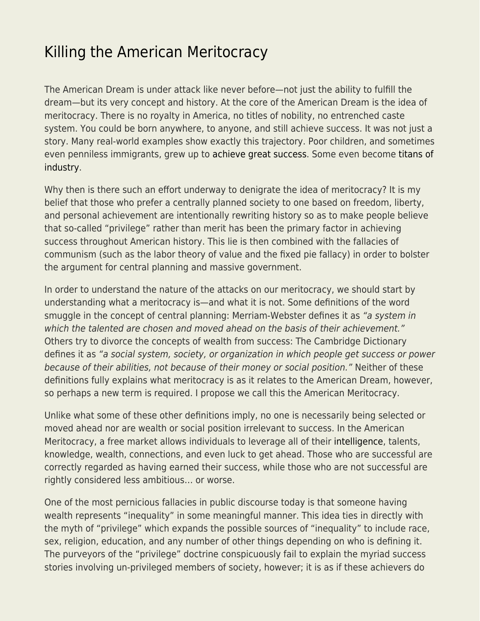## [Killing the American Meritocracy](https://everything-voluntary.com/killing-the-american-meritocracy)

The American Dream is under attack like never before—not just the ability to fulfill the dream—but its very concept and history. At the core of the American Dream is the idea of meritocracy. There is no royalty in America, no titles of nobility, no entrenched caste system. You could be born anywhere, to anyone, and still achieve success. It was not just a story. Many real-world examples show exactly this trajectory. Poor children, and sometimes even penniless immigrants, grew up to [achieve great success](https://historycollection.co/10-true-rags-to-riches-tales-from-american-history/7/). Some even become [titans of](https://www.elitedaily.com/news/business/andrew-carnegie-greatest-rags-riches-story) [industry.](https://www.elitedaily.com/news/business/andrew-carnegie-greatest-rags-riches-story)

Why then is there such an effort underway to denigrate the idea of meritocracy? It is my belief that those who prefer a centrally planned society to one based on freedom, liberty, and personal achievement are intentionally rewriting history so as to make people believe that so-called "privilege" rather than merit has been the primary factor in achieving success throughout American history. This lie is then combined with the fallacies of communism (such as the labor theory of value and the fixed pie fallacy) in order to bolster the argument for central planning and massive government.

In order to understand the nature of the attacks on our meritocracy, we should start by understanding what a meritocracy is—and what it is not. Some definitions of the word smuggle in the concept of central planning: Merriam-Webster defines it as "a system in which the talented are chosen and moved ahead on the basis of their achievement." Others try to divorce the concepts of wealth from success: The Cambridge Dictionary defines it as "a social system, society, or organization in which people get success or power because of their abilities, not because of their money or social position." Neither of these definitions fully explains what meritocracy is as it relates to the American Dream, however, so perhaps a new term is required. I propose we call this the American Meritocracy.

Unlike what some of these other definitions imply, no one is necessarily being selected or moved ahead nor are wealth or social position irrelevant to success. In the American Meritocracy, a free market allows individuals to leverage all of their [intelligence,](https://parrishmiller.com/blog/work-smart-not-hard/) talents, knowledge, wealth, connections, and even luck to get ahead. Those who are successful are correctly regarded as having earned their success, while those who are not successful are rightly considered less ambitious… or worse.

One of the most pernicious fallacies in public discourse today is that someone having wealth represents "inequality" in some meaningful manner. This idea ties in directly with the myth of "privilege" which expands the possible sources of "inequality" to include race, sex, religion, education, and any number of other things depending on who is defining it. The purveyors of the "privilege" doctrine conspicuously fail to explain the myriad success stories involving un-privileged members of society, however; it is as if these achievers do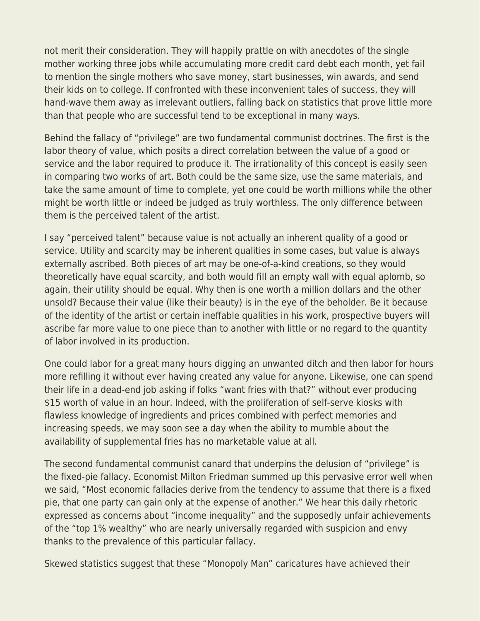not merit their consideration. They will happily prattle on with anecdotes of the single mother working three jobs while accumulating more credit card debt each month, yet fail to mention the single mothers who save money, start businesses, win awards, and send their kids on to college. If confronted with these inconvenient tales of success, they will hand-wave them away as irrelevant outliers, falling back on statistics that prove little more than that people who are successful tend to be exceptional in many ways.

Behind the fallacy of "privilege" are two fundamental communist doctrines. The first is the labor theory of value, which posits a direct correlation between the value of a good or service and the labor required to produce it. The irrationality of this concept is easily seen in comparing two works of art. Both could be the same size, use the same materials, and take the same amount of time to complete, yet one could be worth millions while the other might be worth little or indeed be judged as truly worthless. The only difference between them is the perceived talent of the artist.

I say "perceived talent" because value is not actually an inherent quality of a good or service. Utility and scarcity may be inherent qualities in some cases, but value is always externally ascribed. Both pieces of art may be one-of-a-kind creations, so they would theoretically have equal scarcity, and both would fill an empty wall with equal aplomb, so again, their utility should be equal. Why then is one worth a million dollars and the other unsold? Because their value (like their beauty) is in the eye of the beholder. Be it because of the identity of the artist or certain ineffable qualities in his work, prospective buyers will ascribe far more value to one piece than to another with little or no regard to the quantity of labor involved in its production.

One could labor for a great many hours digging an unwanted ditch and then labor for hours more refilling it without ever having created any value for anyone. Likewise, one can spend their life in a dead-end job asking if folks "want fries with that?" without ever producing \$15 worth of value in an hour. Indeed, with the proliferation of self-serve kiosks with flawless knowledge of ingredients and prices combined with perfect memories and increasing speeds, we may soon see a day when the ability to mumble about the availability of supplemental fries has no marketable value at all.

The second fundamental communist canard that underpins the delusion of "privilege" is the fixed-pie fallacy. Economist Milton Friedman summed up this pervasive error well when we said, "Most economic fallacies derive from the tendency to assume that there is a fixed pie, that one party can gain only at the expense of another." We hear this daily rhetoric expressed as concerns about "income inequality" and the supposedly unfair achievements of the "top 1% wealthy" who are nearly universally regarded with suspicion and envy thanks to the prevalence of this particular fallacy.

Skewed statistics suggest that these "Monopoly Man" caricatures have achieved their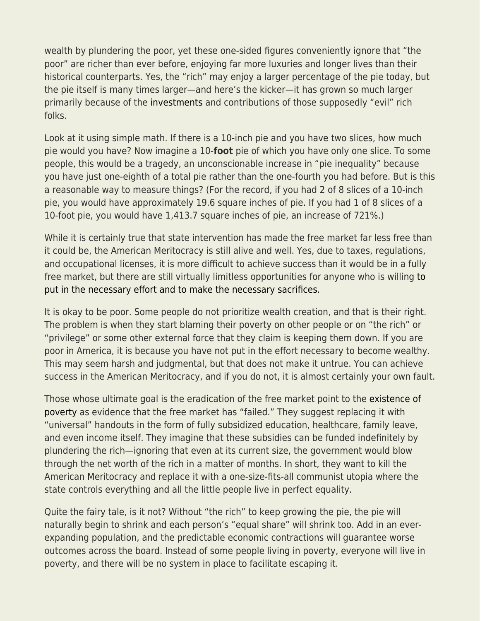wealth by plundering the poor, yet these one-sided figures conveniently ignore that "the poor" are richer than ever before, enjoying far more luxuries and longer lives than their historical counterparts. Yes, the "rich" may enjoy a larger percentage of the pie today, but the pie itself is many times larger—and here's the kicker—it has grown so much larger primarily because of the [investments](https://parrishmiller.com/blog/profit-investment/) and contributions of those supposedly "evil" rich folks.

Look at it using simple math. If there is a 10-inch pie and you have two slices, how much pie would you have? Now imagine a 10-**foot** pie of which you have only one slice. To some people, this would be a tragedy, an unconscionable increase in "pie inequality" because you have just one-eighth of a total pie rather than the one-fourth you had before. But is this a reasonable way to measure things? (For the record, if you had 2 of 8 slices of a 10-inch pie, you would have approximately 19.6 square inches of pie. If you had 1 of 8 slices of a 10-foot pie, you would have 1,413.7 square inches of pie, an increase of 721%.)

While it is certainly true that state intervention has made the free market far less free than it could be, the American Meritocracy is still alive and well. Yes, due to taxes, regulations, and occupational licenses, it is more difficult to achieve success than it would be in a fully free market, but there are still virtually limitless opportunities for anyone who is willing [to](https://parrishmiller.com/blog/poverty-success/) [put in the necessary effort and to make the necessary sacrifices.](https://parrishmiller.com/blog/poverty-success/)

It is okay to be poor. Some people do not prioritize wealth creation, and that is their right. The problem is when they start blaming their poverty on other people or on "the rich" or "privilege" or some other external force that they claim is keeping them down. If you are poor in America, it is because you have not put in the effort necessary to become wealthy. This may seem harsh and judgmental, but that does not make it untrue. You can achieve success in the American Meritocracy, and if you do not, it is almost certainly your own fault.

Those whose ultimate goal is the eradication of the free market point to the [existence of](https://parrishmiller.com/blog/poverty-versus-prosperity/) [poverty](https://parrishmiller.com/blog/poverty-versus-prosperity/) as evidence that the free market has "failed." They suggest replacing it with "universal" handouts in the form of fully subsidized education, healthcare, family leave, and even income itself. They imagine that these subsidies can be funded indefinitely by plundering the rich—ignoring that even at its current size, the government would blow through the net worth of the rich in a matter of months. In short, they want to kill the American Meritocracy and replace it with a one-size-fits-all communist utopia where the state controls everything and all the little people live in perfect equality.

Quite the fairy tale, is it not? Without "the rich" to keep growing the pie, the pie will naturally begin to shrink and each person's "equal share" will shrink too. Add in an everexpanding population, and the predictable economic contractions will guarantee worse outcomes across the board. Instead of some people living in poverty, everyone will live in poverty, and there will be no system in place to facilitate escaping it.